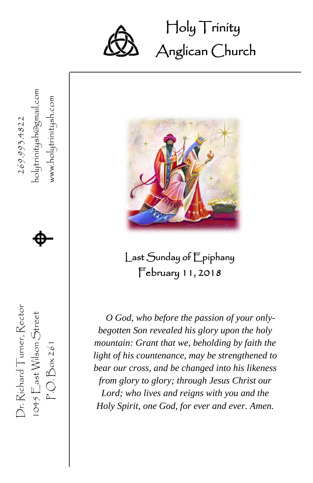

Holy Trinity Ĩ Anglican Church



Dr. Richard Turner, Rector  $269.993.4822$ 

Dr. Richard Turner, Rector

269.993.4822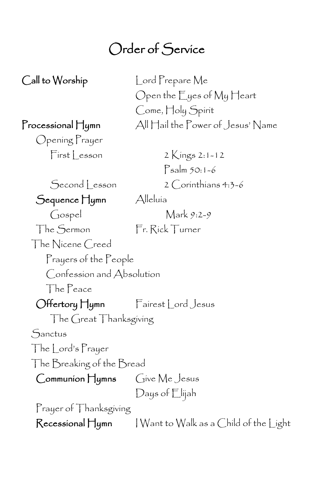### Order of Service

Call to Worship Lord Prepare Me Open the Eyes of My Heart Come, Holy Spirit Processional Hymn All Hail the Power of Jesus' Name Opening Prayer  $First Lesson 2$  Kings 2:1-12 Psalm 50:1-6 Second Lesson 2 Corinthians 4:3-6 Sequence Hymn Alleluia Gospel Mark 9:2-9 The Sermon Fr. Rick Turner The Nicene Creed Prayers of the People Confession and Absolution The Peace Offertory Hymn Fairest Lord Jesus The Great Thanksgiving **Sanctus** The Lord's Prayer The Breaking of the Bread Communion Hymns Give Me Jesus Days of Elijah Prayer of Thanksgiving Recessional Hymn I Want to Walk as a Child of the Light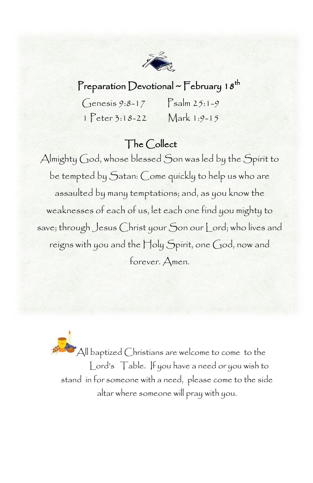

#### Preparation Devotional ~ February 18<sup>th</sup>

| $G$ enesis 9:8-17   | $P_{\text{salm}} 25:1-9$ |
|---------------------|--------------------------|
| $1$ $Peter 3:18-22$ | Mark 1:9-15              |

#### The Collect

Almighty God, whose blessed Son was led by the Spirit to be tempted by Satan: Come quickly to help us who are assaulted by many temptations; and, as you know the weaknesses of each of us, let each one find you mighty to save; through Jesus Christ your Son our Lord; who lives and reigns with you and the Holy Spirit, one God, now and forever. Amen.

All baptized Christians are welcome to come to the Lord's Table. If you have a need or you wish to stand in for someone with a need, please come to the side altar where someone will pray with you.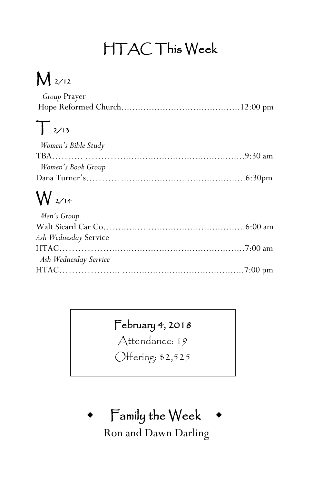### HTAC This Week

## M 2/12

| <i>Group</i> Prayer |  |
|---------------------|--|
|                     |  |

### $\int 2/13$

| Women's Bible Study |
|---------------------|
|                     |
| Women's Book Group  |
|                     |

## W 2/14

| Men's Group           |  |
|-----------------------|--|
|                       |  |
| Ash Wednesday Service |  |
|                       |  |
| Ash Wednesday Service |  |
|                       |  |

### February 4, 2018

Attendance: 19

Offering: \$2,525

### Family the Week

Ron and Dawn Darling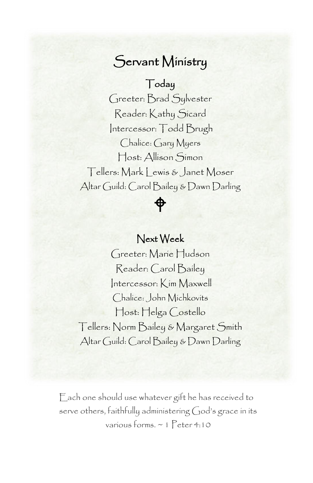#### Servant Ministry

#### Today

 Greeter: Brad Sylvester Reader: Kathy Sicard<br>——————————————————— Chalice: Gary Myers ost: Allison کimon|<br>Tellers: Mark Lewis & Janet Moser Intercessor: Todd Brugh Host: Allison Simon Altar Guild: Carol Bailey & Dawn Darling

## Next Week

 $\phi$ 

 Reader: Carol Bailey Chalice: John Michkovits Greeter: Marie Hudson Intercessor: Kim Maxwell Host: Helga Costello Tellers: Norm Bailey & Margaret Smith Altar Guild: Carol Bailey & Dawn Darling

Each one should use whatever gift he has received to serve others, faithfully administering God's grace in its various forms. ~ 1 Peter 4:10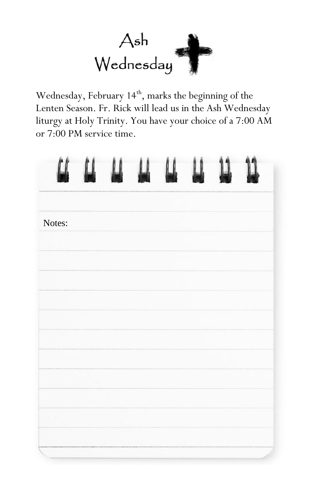

Wednesday, February 14<sup>th</sup>, marks the beginning of the Lenten Season. Fr. Rick will lead us in the Ash Wednesday liturgy at Holy Trinity. You have your choice of a 7:00 AM or 7:00 PM service time.

| $\alpha$ | $\begin{array}{c} \mathbf{u} \\ \mathbf{v} \end{array}$ | $\mu$ $\mu$ | $\begin{array}{c} \hline \end{array}$ | 11 |  |
|----------|---------------------------------------------------------|-------------|---------------------------------------|----|--|
| Notes:   |                                                         |             |                                       |    |  |
|          |                                                         |             |                                       |    |  |
|          |                                                         |             |                                       |    |  |
|          |                                                         |             |                                       |    |  |
|          |                                                         |             |                                       |    |  |
|          |                                                         |             |                                       |    |  |
|          |                                                         |             |                                       |    |  |
|          |                                                         |             |                                       |    |  |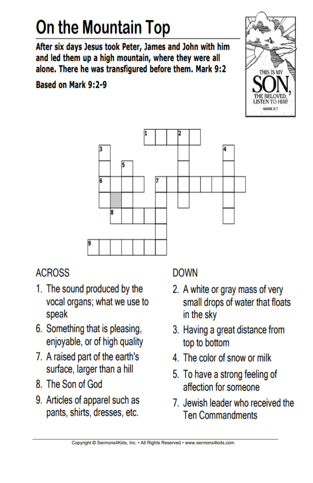# On the Mountain Top

After six days Jesus took Peter, James and John with him and led them up a high mountain, where they were all alone. There he was transfigured before them. Mark 9:2

**Based on Mark 9:2-9** 





#### **ACROSS**

- 1. The sound produced by the vocal organs; what we use to speak
- 6. Something that is pleasing, enjoyable, or of high quality
- 7. A raised part of the earth's surface, larger than a hill
- 8. The Son of God
- 9. Articles of apparel such as pants, shirts, dresses, etc.

#### **DOWN**

- 2. A white or gray mass of very small drops of water that floats in the sky
- 3. Having a great distance from top to bottom
- 4. The color of snow or milk
- 5. To have a strong feeling of affection for someone
- 7. Jewish leader who received the **Ten Commandments**